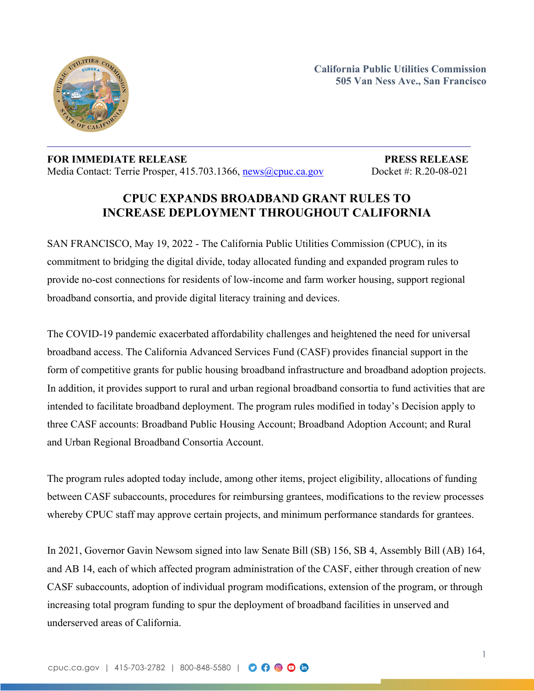

**California Public Utilities Commission 505 Van Ness Ave., San Francisco**

## **FOR IMMEDIATE RELEASE PRESS RELEASE** Media Contact: Terrie Prosper, 415.703.1366, [news@cpuc.ca.gov](mailto:news@cpuc.ca.gov) Docket #: R.20-08-021

## **CPUC EXPANDS BROADBAND GRANT RULES TO INCREASE DEPLOYMENT THROUGHOUT CALIFORNIA**

SAN FRANCISCO, May 19, 2022 - The California Public Utilities Commission (CPUC), in its commitment to bridging the digital divide, today allocated funding and expanded program rules to provide no-cost connections for residents of low-income and farm worker housing, support regional broadband consortia, and provide digital literacy training and devices.

The COVID-19 pandemic exacerbated affordability challenges and heightened the need for universal broadband access. The California Advanced Services Fund (CASF) provides financial support in the form of competitive grants for public housing broadband infrastructure and broadband adoption projects. In addition, it provides support to rural and urban regional broadband consortia to fund activities that are intended to facilitate broadband deployment. The program rules modified in today's Decision apply to three CASF accounts: Broadband Public Housing Account; Broadband Adoption Account; and Rural and Urban Regional Broadband Consortia Account.

The program rules adopted today include, among other items, project eligibility, allocations of funding between CASF subaccounts, procedures for reimbursing grantees, modifications to the review processes whereby CPUC staff may approve certain projects, and minimum performance standards for grantees.

In 2021, Governor Gavin Newsom signed into law Senate Bill (SB) 156, SB 4, Assembly Bill (AB) 164, and AB 14, each of which affected program administration of the CASF, either through creation of new CASF subaccounts, adoption of individual program modifications, extension of the program, or through increasing total program funding to spur the deployment of broadband facilities in unserved and underserved areas of California.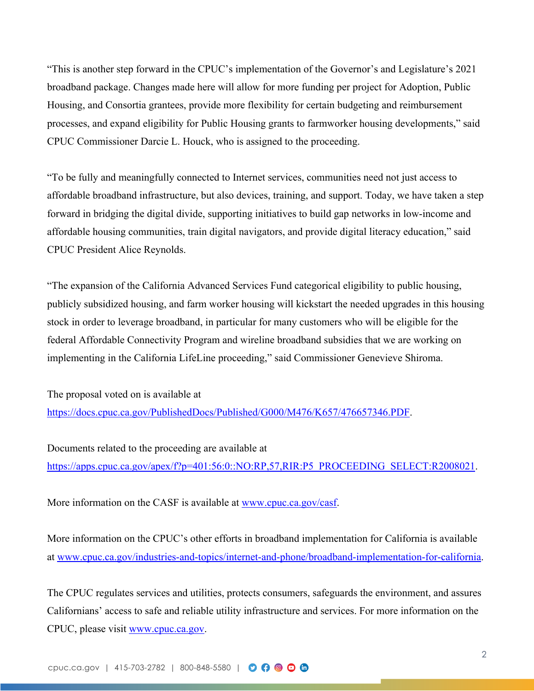"This is another step forward in the CPUC's implementation of the Governor's and Legislature's 2021 broadband package. Changes made here will allow for more funding per project for Adoption, Public Housing, and Consortia grantees, provide more flexibility for certain budgeting and reimbursement processes, and expand eligibility for Public Housing grants to farmworker housing developments," said CPUC Commissioner Darcie L. Houck, who is assigned to the proceeding.

"To be fully and meaningfully connected to Internet services, communities need not just access to affordable broadband infrastructure, but also devices, training, and support. Today, we have taken a step forward in bridging the digital divide, supporting initiatives to build gap networks in low-income and affordable housing communities, train digital navigators, and provide digital literacy education," said CPUC President Alice Reynolds.

"The expansion of the California Advanced Services Fund categorical eligibility to public housing, publicly subsidized housing, and farm worker housing will kickstart the needed upgrades in this housing stock in order to leverage broadband, in particular for many customers who will be eligible for the federal Affordable Connectivity Program and wireline broadband subsidies that we are working on implementing in the California LifeLine proceeding," said Commissioner Genevieve Shiroma.

The proposal voted on is available at [https://docs.cpuc.ca.gov/PublishedDocs/Published/G000/M476/K657/476657346.PDF.](https://docs.cpuc.ca.gov/PublishedDocs/Published/G000/M476/K657/476657346.PDF)

Documents related to the proceeding are available at [https://apps.cpuc.ca.gov/apex/f?p=401:56:0::NO:RP,57,RIR:P5\\_PROCEEDING\\_SELECT:R2008021](https://apps.cpuc.ca.gov/apex/f?p=401:56:0::NO:RP,57,RIR:P5_PROCEEDING_SELECT:R2008021).

More information on the CASF is available at [www.cpuc.ca.gov/casf](http://www.cpuc.ca.gov/casf).

More information on the CPUC's other efforts in broadband implementation for California is available at [www.cpuc.ca.gov/industries-and-topics/internet-and-phone/broadband-implementation-for-california.](http://www.cpuc.ca.gov/industries-and-topics/internet-and-phone/broadband-implementation-for-california)

The CPUC regulates services and utilities, protects consumers, safeguards the environment, and assures Californians' access to safe and reliable utility infrastructure and services. For more information on the CPUC, please visit [www.cpuc.ca.gov](http://www.cpuc.ca.gov/).